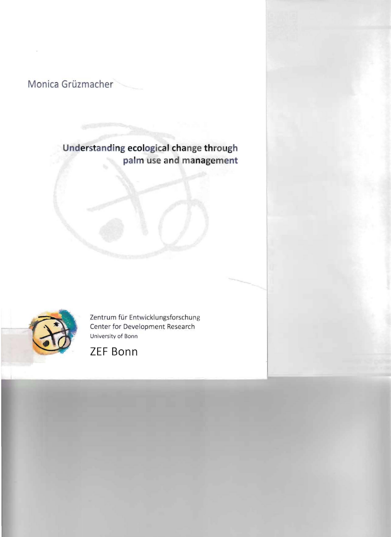

# **Understanding ecological change through palm use and management**



Zentrum für Entwicklungsforschung Center for Development Research University af Bann

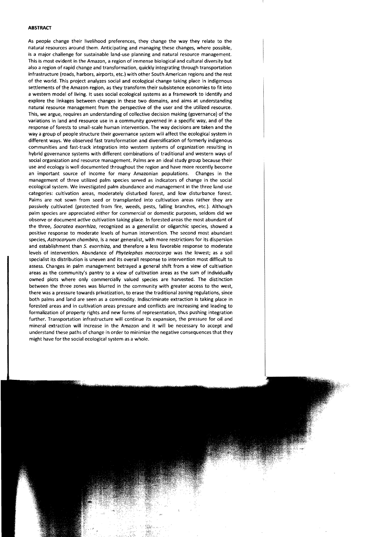### **ABSTRACT**

As people change their livelihood preferences, they change the way they relate to the natural resources around them. Anticipating and managing these changes, where possible, is a major challenge for sustainable land-use planning and natural resource management. This is most evident in the Amazon, a region of immense biological and cultural diversity but also a region of rapid change and transformation, quickly integrating through transportation infrastructure (roads, harbors, airports, etc.) with other South American regions and the rest of the world. This project analyzes social and ecologieal change taking place in indigenous settlements of the Amazon region, as they transform their subsistence economies to fit into a western model of living. It uses sodal ecological systems as a framework to identify and explore the linkages between changes in these two domains, and aims at understanding natural resource management from the perspective of the user and the utilized resource. This, we argue, requires an understanding of collective decision making (governance) of the variations in land and resource use in a community governed in a specific way, and of the response of forests to small-scale human intervention. The way dedsions are taken and the way a group of people structure their governance system will affect the ecological system in different ways. We observed fast transformation and diversifieation of formerly indigenous communities and fast-track integration into western systems of organization resulting in hybrid governance systems with different combinations of traditional and western ways of sodal organization and resource management. Palms are an ideal study group because their use and ecology is weil documented throughout the region and have more recently become an important source of income for many Amazonian populations. Changes in the management of three utilized palm species served as indicators of change in the social ecological system. We investigated palm abundance and management in the three land-use categories: cultivation areas, moderately disturbed forest, and low disturbance forest. Palms are not sown from seed or transplanted into cultivation areas rather they are passively cultivated (protected from fire, weeds, pests, falling branches, etc.). Although palm species are appreciated either for commercial or domestic purposes, seldom did we observe or document active cultivation taking place. In forested areas the most abundant of the three, *Socratea exorrhiza*, recognized as a generalist or oligarchic species, showed a positive response to moderate levels of human intervention. The second most abundant species, *Astrocaryum chambira*, is a near generalist, with more restrictions for its dispersion and establishment than S. *exorrhiza,* and therefore a less favorable response to moderate levels of intervention. Abundance of *Phytelephas macrocarpa* was the lowest; as a soil spedalist its distribution is uneven and its overall response to intervention most difficult to assess. Changes in palm management betrayed a general shift from a view of cultivation areas as the community's pantry to a view of cultivation areas as the sum of individually owned plots where only commercially valued species are harvested. The distinction between the three zones was blurred in the community with greater access to the west, there was a pressure towards privatization, to erase the traditional zoning regulations, since both palms and land are seen as a commodity. Indiscriminate extraction is taking place in forested areas and in cultivation areas pressure and conflicts are increasing and leading to formalization of property rights and new forms of representation, thus pushing integration further. Transportation infrastructure will continue its expansion, the pressure for oil and mineral extraction will increase in the Amazon and it will be necessary to accept and understand these paths of change in order to minimize the negative consequences that they might have for the social ecological system as a whole.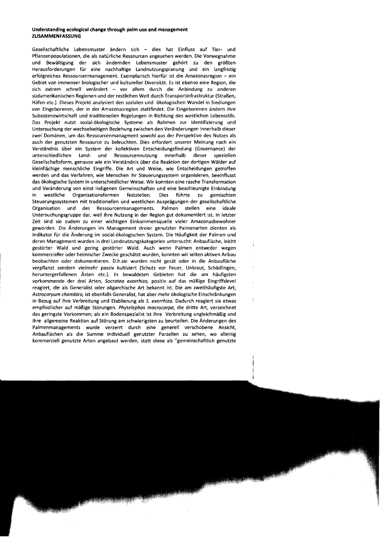## **Understanding** ecological **change through palm** use **and management ZUSAMMENFASSUNG**

Gesellschaftliche Lebensmuster ändern sich - dies hat Einfluss auf Tier- und Pflanzenpopulationen, die als natürliche Ressourcen angesehen werden. Die Vorwegnahme und Bewältigung der sich ändernden Lebensmuster gehört zu den größten Herausforderungen für eine nachhaltige Landnutzungsplanung und ein langfristig erfolgreiches Ressourcenmanagement. Exemplarisch hierfür ist die Amazonasregion - ein Gebiet von immenser biologischer und kultureller Diversität. Es ist ebenso eine Region, die sich extrem schnell verändert - vor allem durch die Anbindung zu anderen südamerikanischen Regionen und der restlichen Welt durch Transportinfrastruktur (Straßen, Häfen etc.). Dieses Projekt analysiert den sozialen und ökologischen Wandel in Siedlungen von Eingeborenen, der in der Amazonasregion stattfindet. Die Eingeborenen ändern ihre Subsistenzwirtschaft und traditionellen Regelungen in Richtung des westlichen Lebensstils. Das Projekt nutzt sozial-ökologische Systeme als Rahmen zur Identifizierung und Untersuchung der wechselseitigen Beziehung zwischen den Veränderungen innerhalb dieser zwei Domänen, um das Ressourcenmanagment sowohl aus der Perspektive des Nutzes als auch der genutzten Ressource zu beleuchten. Dies erfordert unserer Meinung nach ein Verständnis über ein System der kollektiven Entscheidungsfindung (Governance) der unterschiedlichen Land- und Ressourcennutzung innerhalb dieser speziellen Gesellschaftsform, genauso wie ein Verständnis über die Reaktion der dortigen Wälder auf kleinflächige menschliche Eingriffe. Die Art und Weise, wie Entscheidungen getroffen werden und das Verfahren, wie Menschen ihr Steuerungssystem organisieren, beeinflusst das ökologische System in unterschiedlicher Weise. Wir konnten eine rasche Transformation und Veränderung von einst indigenen Gemeinschaften und eine beschleunigte Einbindung in westliche Organisationsformen feststellen. Dies führte zu gemischten Steuerungssystemen mit traditionellen und westlichen Ausprägungen der gesellschaftliche Organisation und des Ressourcenmanagements. Palmen stellen eine ideale Untersuchungsgruppe dar, weil ihre Nutzung in der Region gut dokumentiert ist. In letzter Zeit sind sie zudem zu einer wichtigen Einkommensquelle vieler Amazonasbewohner geworden. Die Änderungen im Management dreier genutzter Palmenarten dienten als Indikator für die Änderung im sozial-ökologischen System. Die Häufigkeit der Palmen und deren Management wurden in drei Landnutzungskategorien untersucht: Anbaufläche, leicht gestörter Wald und gering gestörter Wald. Auch wenn Palmen entweder wegen kommerzieller oder heimischer Zwecke geschätzt wurden, konnten wir selten aktiven Anbau beobachten oder dokumentieren. D.h.sie wurden nicht gesät oder in die Anbaufläche verpflanzt sondern vielmehr passiv kultiviert (Schutz vor Feuer, Unkraut, Schädlingen, heruntergerfallenen Ästen etc.). In bewaldeten Gebieten hat die am häufigsten vorkommende der drei Arten, *Socratea exorrhiza,* positiv auf das mäßige Eingriffslevel reagiert, die als Generalist oder oligarchische Art bekannt ist. Die am zweithäufigste Art, *Astrocaryum chambira,* ist ebenfalls Generalist, hat aber mehr ökologische Einschränkungen in Bezug auf ihre Verbreitung und Etablierung als *S. exorrhiza.* Dadurch reagiert sie etwas empfindlicher auf mäßige Störungen. *Phytelephas macrocarpa,* die dritte Art, verzeichnet das geringste Vorkommen; als ein Bodenspezialist ist ihre Verbreitung ungleichmäßig und ihre allgemeine Reaktion auf Störung am schwierigsten zu beurteilen. Die Änderungen des Palmenmanagements wurde verzerrt durch eine generell verschobene Ansicht, Anbauflächen als die Summe individuell genutzter Parzellen zu sehen, wo alleinig kommerziell genutzte Arten angebaut werden, statt diese als "gemeinschaftlich genutzte

ì ÷.

 $\frac{1}{4}$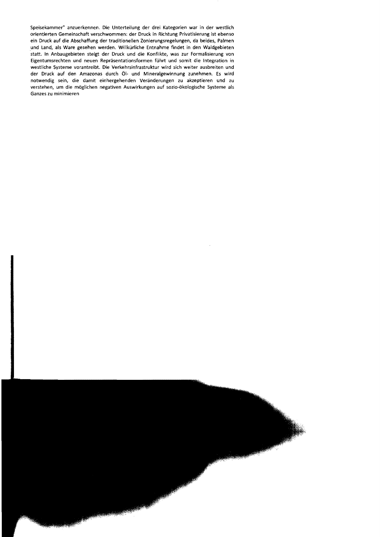Speisekammer" anzuerkennen. Die Unterteilung der drei Kategorien war in der westlich orientierten Gemeinschaft verschwommen: der Druck in Richtung Privatisierung ist ebenso ein Druck auf die Abschaffung der traditionellen Zonierungsregelungen, da beides, Palmen und land, als Ware gesehen werden. Willkürliche Entnahme findet in den Waldgebieten statt. In Anbaugebieten steigt der Druck und die Konflikte, was zur Formalisierung von Eigentumsrechten und neuen Repräsentationsformen führt und somit die Integration in westliche Systeme vorantreibt. Die Verkehrsinfrastruktur wird sich weiter ausbreiten und der Druck auf den Amazonas durch ÖI- und Mineralgewinnung zunehmen. Es wird notwendig sein, die damit einhergehenden Veränderungen zu akzeptieren und zu verstehen, um die möglichen negativen Auswirkungen auf sozio-ökologische Systeme als Ganzes zu minimieren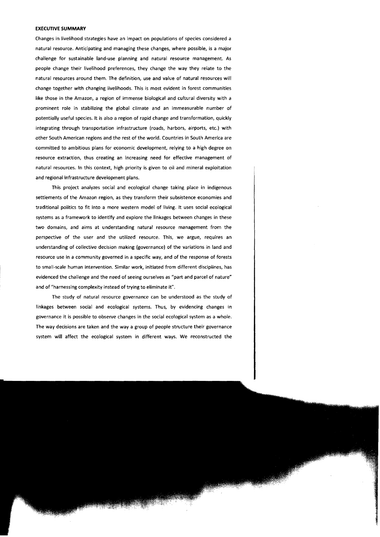#### **EXECUTIVE SUMMARY**

Changes in livelihood strategies have an impact on populations of species considered a natural resource. Anticipating and managing these changes, where possible, is a major challenge for sustainable land-use planning and natural resource management. As people change their livelihood preferences, they change the way they relate to the natural resources around them. The definition, use and value of natural resources will change together with changing livelihoods. This is most evident in forest communities like those in the Amazon, a region of immense biological and cultural diversity with a prominent role in stabilizing the global climate and an immeasurable number of potentially useful species. It is also a region of rapid change and transformation, quickly integrating through transportation infrastructure (roads, harbors, airports, etc.) with other South American regions and the rest of the world. Countries in South America are committed to ambitious plans for economic development, relying to a high degree on resource extraction, thus creating an increasing need for effective management of natural resources. In this context, high priority is given to oil and mineral exploitation and regional infrastructure development plans.

This project analyzes social and ecological change taking place in indigenous settlements of the Amazon region, as they transform their subsistence economies and traditional politics to fit into a more western model of living. It uses social ecological systems as a framework to identify and explore the linkages between changes in these two domains, and aims at understanding natural resource management from the perspective of the user and the utilized resource. This, we argue, requires an understanding of collective decision making (governance) of the variations in land and resource use in a community governed in a specific way, and of the response of forests to small-scale human intervention. Similar work, initiated from different disciplines, has evidenced the challenge and the need of seeing ourselves as "part and parcel of nature" and of "harnessing complexity instead of trying to eliminate it".

The study of natural resource governance can be understood as the study of linkages between sodal and ecological systems. Thus, by evidencing changes in governance it is possible to observe changes in the social ecological system as a whole. The way decisions are taken and the way a group of people structure their governance system will affect the ecological system in different ways. We reconstructed the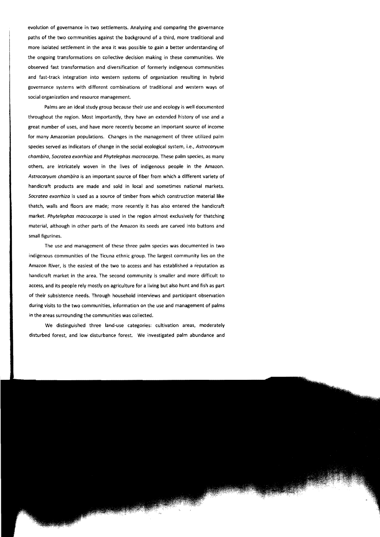evolution of governance in two settlements. Analyzing and comparing the governance paths of the two communities against the background of a third, more traditional and more isolated settlement in the area it was possible to gain a better understanding of the ongoing transformations on collective decision making in these communities. We observed fast transformation and diversification of formerly indigenous communities and fast-track integration into western systems of organization resulting in hybrid governance systems with different combinations of traditional and western ways of social organization and resource management.

Palms are an ideal study group because their use and ecology is weil documented throughout the region. Most importantly, they have an extended history of use and a great number of uses, and have more recently become an important source of income for many Amazonian populations. Changes in the management of three utilized palm species served as indicators of change in the social ecological system, i.e., Astrocaryum chambiro, Socratea exorrhiza and Phytelephas macracarpa. These palm species, as many others, are intricately woven in the lives of indigenous people in the Amazon. Astrocaryum chambira is an important source of fiber from which a different variety of handicraft products are made and sold in local and sometimes national markets. Socratea exorrhiza is used as a source of timber from which construction material like thatch, walls and floors are made; more recently it has also entered the handicraft market. Phytelephas macrocarpa is used in the region almost exclusively for thatching material, although in other parts of the Amazon its seeds are carved into buttons and small figurines.

The use and management of these three palm species was documented in two indigenous communities of the Ticuna ethnic group. The largest community lies on the Amazon River, is the easiest of the two to access and has established a reputation as handicraft market in the area. The second community is smaller and more difficult to access, and its people rely mostly on agriculture for a living but also hunt and fish as part of their subsistence needs. Through household interviews and participant observation during visits to the two communities, information on the use and management of palms in the areas surrounding the communities was collected.

We distinguished three land-use categories: cultivation areas, moderately disturbed forest, and low disturbance forest. We investigated palm abundance and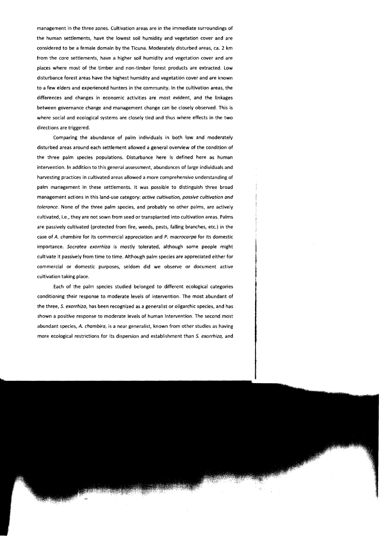management in the three zones. Cultivation areas are in the immediate surroundings of the human settlements, have the lowest soil humidity and vegetation cover and are considered to be a female domain by the Ticuna. Moderately disturbed areas, ca. 2 km from the core settlements, have a higher soil humidity and vegetation cover and are places where most of the timber and non-timber forest products are extracted. low disturbance forest areas have the highest humidity and vegetation cover and are known to a few elders and experienced hunters in the community. In the cultivation areas, the differences and changes in economic activities are most evident, and the linkages between governance change and management change can be closely observed. This is where social and ecological systems are closely tied and thus where effects in the two directions are triggered.

Comparing the abundance of palm individuals in both low and moderately disturbed areas around each settlement allowed a general overview of the condition of the three palm species populations. Disturbance here is defined here as human intervention. In addition to this general assessment, abundances of large individuals and harvesting practices in cultivated areas allowed a more comprehensive understanding of palm management in these settlements. It was possible to distinguish three broad management actions in this land-use category: *active cultivation, passive cultivation and tolerance.* None of the three palm spedes, and probably no other palms, are actively cultivated, i.e., they are not sown from seed or transplanted into cultivation areas. Palms are passively cultivated (protected from fire, weeds, pests, falling branches, etc.) in the case of A. *chambira* for its commercial appreeiation and *P. macrocarpa* for its domestie importance. *Socratea exorrhiza* is mostly tolerated, although some people might eultivate it passively from time to time. Although palm speeies are appreciated either for commercial or domestie purposes, seldom did we observe or document active cultivation taking place.

Each of the palm species studied belonged to different ecological categories conditioning their response to moderate levels of intervention. The most abundant of the three, *S. exorrhiza,* has been recognized as a generalist or oligarchie species, and has shown a positive response to moderate levels of human intervention. The second most abundant species, A. *chambira,* is a near generalist, known from other studies as having more ecological restrictions for its dispersion and establishment than *S. exorrhiza,* and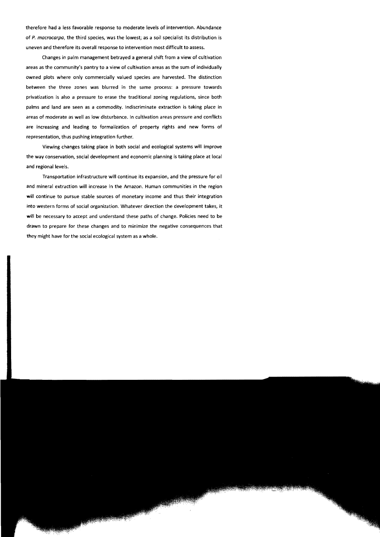therefore had a less favorable response to moderate levels of intervention. Abundance of P. macrocarpa, the third species, was the lowest; as a soil specialist its distribution is uneven and therefore its overall response to intervention most difficult to assess.

Changes in palm management betrayed a general shift from a view of cultivation areas as the community's pantry to a view of cultivation areas as the sum of individually owned plots where only commercially valued species are harvested. The distinction between the three zones was blurred in the same process: a pressure towards privatization is also apressure to erase the traditional zoning regulations, since both palms and land are seen as a commodity. Indiscriminate extraction is taking place in areas of moderate as weil as low disturbance. In cultivation areas pressure and conflicts are increasing and leading to formalization of property rights and new forms of representation, thus pushing integration further.

Viewing changes taking place in both social and ecological systems will improve the way conservation, sodal development and economic planning is taking place at local and regional levels.

Transportation infrastructure will continue its expansion, and the pressure for oil and mineral extraction will increase in the Amazon. Human communities in the region will continue to pursue stable sources of monetary income and thus their integration into western forms of social organization. Whatever direction the development takes, it **will** be necessary to accept and understand these paths of change. Policies need to be drawn to prepare for these changes and to minimize the negative consequences that they might have for the social ecological system as a whole.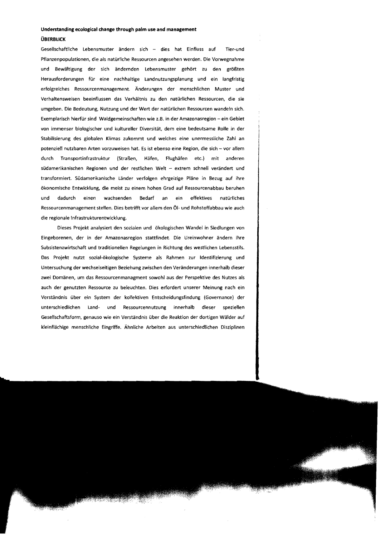#### **Understanding ecological change through palm use and management**

#### **OBERBlICK**

Gesellschaftliche lebensmuster ändern sich - dies hat Einfluss auf Tier-und Pflanzenpopulationen, die als natürliche Ressourcen angesehen werden. Die Vorwegnahme und Bewältigung der sich ändernden lebensmuster gehört zu den größten Herausforderungen für eine nachhaltige landnutzungsplanung und ein langfristig erfolgreiches Ressourcenmanagement. Änderungen der menschlichen Muster und Verhaltensweisen beeinflussen das Verhältnis zu den natürlichen Ressourcen, die sie umgeben. Die Bedeutung, Nutzung und der Wert der natürlichen Ressourcen wandeln sich. Exemplarisch hierfür sind Waldgemeinschaften wie z.B. in der Amazonasregion - ein Gebiet von immenser biologischer und kultureller Diversität, dem eine bedeutsame Rolle in der Stabilisierung des globalen Klimas zukommt und welches eine unermessliche Zahl an potenziell nutzbaren Arten vorzuweisen hat. Es ist ebenso eine Region, die sich - vor allem durch Transportinfrastruktur (Straßen, Häfen, Flughäfen etc.) mit anderen südamerikanischen Regionen und der restlichen Welt - extrem schnell verändert und transformiert. Südamerikanische länder verfolgen ehrgeizige Pläne in Bezug auf ihre ökonomische Entwicklung, die meist zu einem hohen Grad auf Ressourcenabbau beruhen und dadurch einen wachsenden Bedarf an ein effektives natürliches Ressourcenmanagement stellen. Dies betrifft vor allem den ÖI- und Rohstoffabbau wie auch die regionale Infrastrukturentwicklung.

Dieses Projekt analysiert den sozialen und ökologischen Wandel in Siedlungen von Eingeborenen, der in der Amazonasregion stattfindet. Die Ureinwohner ändern ihre Subsistenzwirtschaft und traditionellen Regelungen in Richtung des westlichen lebensstils. Das Projekt nutzt sozial-ökologische Systeme als Rahmen zur Identifizierung und Untersuchung der wechselseitigen Beziehung zwischen den Veränderungen innerhalb dieser zwei Domänen, um das Ressourcenmanagment sowohl aus der Perspektive des Nutzes als auch der genutzten Ressource zu beleuchten. Dies erfordert unserer Meinung nach ein Verständnis über ein System der kollektiven Entscheidungsfindung (Governance) der unterschiedlichen land- und Ressourcennutzung innerhalb dieser speziellen Gesellschaftsform, genauso wie ein Verständnis über die Reaktion der dortigen Wälder auf kleinflächige menschliche Eingriffe. Ähnliche Arbeiten aus unterschiedlichen Disziplinen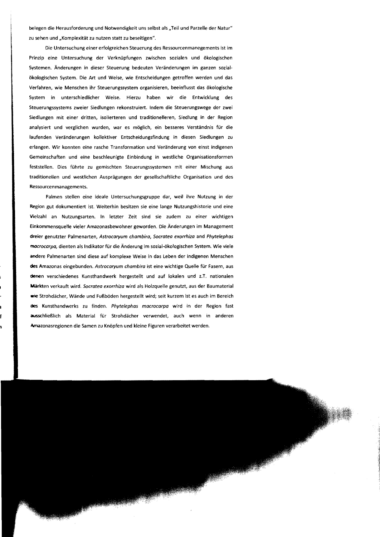belegen die Herausforderung und Notwendigkeit uns selbst als "Teil und Parzelle der Natur" zu sehen und "Komplexität zu nutzen statt zu beseitigen".

Die Untersuchung einer erfolgreichen Steuerung des Ressourcenmanegements ist im Prinzip eine Untersuchung der Verknüpfungen zwischen sozialen und ökologischen Systemen. Änderungen in dieser Steuerung bedeuten Veränderungen im ganzen sozialökologischen System. Die Art und Weise, wie Entscheidungen getroffen werden und das Verfahren, wie Menschen ihr Steuerungssystem organisieren, beeinflusst das ökologische System in unterschiedlicher Weise. Hierzu haben wir die Entwicklung des Steuerungssystems zweier Siedlungen rekonstruiert. Indem die Steuerungswege der zwei Siedlungen mit einer dritten, isolierteren und traditionelleren, Siedlung in der Region analysiert und verglichen wurden, war es möglich, ein besseres Verständnis für die laufenden Veränderungen kollektiver Entscheidungsfindung in diesen Siedlungen zu erlangen. Wir konnten eine rasche Transformation und Veränderung von einst indigenen Gemeinschaften und eine beschleunigte Einbindung in westliche Organisationsformen feststellen. Dies führte zu gemischten Steuerungssystemen mit einer Mischung aus traditionellen und westlichen Ausprägungen der gesellschaftliche Organisation und des Ressourcenmanagements.

Palmen stellen eine ideale Untersuchungsgruppe dar, weil ihre Nutzung in der Region gut dokumentiert ist. Weiterhin besitzen sie eine lange Nutzungshistorie und eine Vielzahl an Nutzungsarten. In letzter Zeit sind sie zudem zu einer wichtigen Einkommensquelle vieler Amazonasbewohner geworden. Die Änderungen im Management dreier genutzter Palmenarten, *Astrocaryum chambira, Socratea exorrhiza* and *Phytelephas mocrocarpa,* dienten als Indikator für die Änderung im sozial-ökologischen System. Wie viele andere Palmenarten sind diese auf komplexe Weise in das Leben der indigenen Menschen des Amazonas eingebunden. *Astrocaryum chambira* ist eine wichtige Quelle für Fasern, aus denen verschiedenes Kunsthandwerk hergestellt und auf lokalen und z.T. nationalen Märkten verkauft wird. *Socratea exorrhiza* wird als Holzquelle genutzt, aus der Baumaterial wie Strohdächer, Wände und Fußböden hergestellt wird; seit kurzem ist es auch im Bereich lIeS Kunsthandwerks zu finden. *Phytelephas macrocarpa* wird in der Region fast ausschließlich als Material für Strohdächer verwendet, auch wenn in anderen Amazonasregionen die Samen zu Knöpfen und kleine Figuren verarbeitet werden.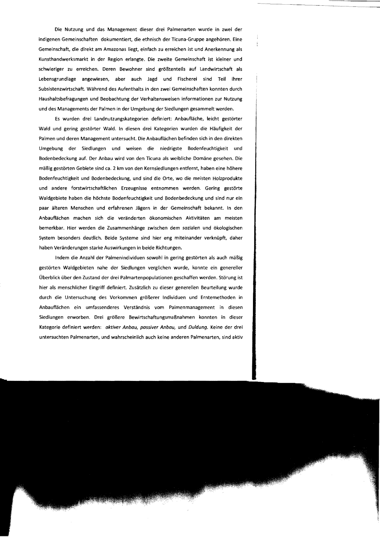Die Nutzung und das Management dieser drei Palmenarten wurde in zwei der indigenen Gemeinschaften dokumentiert, die ethnisch der Ticuna-Gruppe angehören. Eine Gemeinschaft, die direkt am Amazonas liegt, einfach zu erreichen ist und Anerkennung als Kunsthandwerksmarkt in der Region erlangte. Die zweite Gemeinschaft ist kleiner und schwieriger zu erreichen. Deren Bewohner sind größtenteils auf landwirtschaft als lebensgrundlage angewiesen, aber auch Jagd und Fischerei sind Teil ihrer Subsistenzwirtschaft. Während des Aufenthalts in den zwei Gemeinschaften konnten durch Haushaltsbefragungen und Beobachtung der Verhaltensweisen Informationen zur Nutzung und des Managements der Palmen in der Umgebung der Siedlungen gesammelt werden.

Es wurden drei landnutzungskategorien definiert: Anbaufläche, leicht gestörter Wald und gering gestörter Wald. In diesen drei Kategorien wurden die Häufigkeit der Palmen und deren Management untersucht. Die Anbauflächen befinden sich in den direkten Umgebung der Siedlungen und weisen die niedrigste Bodenfeuchtigkeit und Bodenbedeckung auf. Der Anbau wird von den Ticuna als weibliche Domäne gesehen. Die mäßig gestörten Gebiete sind ca. 2 km von den Kernsiedlungen entfernt, haben eine höhere Bodenfeuchtigkeit und Bodenbedeckung, und sind die Orte, wo die meisten Holzprodukte und andere forstwirtschaftlichen Erzeugnisse entnommen werden. Gering gestörte Waldgebiete haben die höchste Bodenfeuchtigkeit und Bodenbedeckung und sind nur ein paar älteren Menschen und erfahrenen Jägern in der Gemeinschaft bekannt. In den Anbauflächen machen sich die veränderten ökonomischen Aktivitäten am meisten bemerkbar. Hier werden die Zusammenhänge zwischen dem sozialen und ökologischen System besonders deutlich. Beide Systeme sind hier eng miteinander verknüpft, daher haben Veränderungen starke Auswirkungen in beide Richtungen.

Indem die Anzahl der Palmenindividuen sowohl in gering gestörten als auch mäßig gestörten Waldgebieten nahe der Siedlungen verglichen wurde, konnte ein genereller Überblick über den Zustand der drei Palmartenpopulationen geschaffen werden. Störung ist hier als menschlicher Eingriff definiert. Zusätzlich zu dieser generellen Beurteilung wurde durch die Untersuchung des Vorkommen größerer Individuen und Erntemethoden in Anbauflächen ein umfassenderes Verständnis vom Palmenmanagement in diesen Siedlungen erworben. Drei größere Bewirtschaftungsmaßnahmen konnten in dieser Kategorie definiert werden: aktiver Anbau, passiver Anbau, und Duldung. Keine der drei untersuchten Palmenarten, und wahrscheinlich auch keine anderen Palmenarten, sind aktiv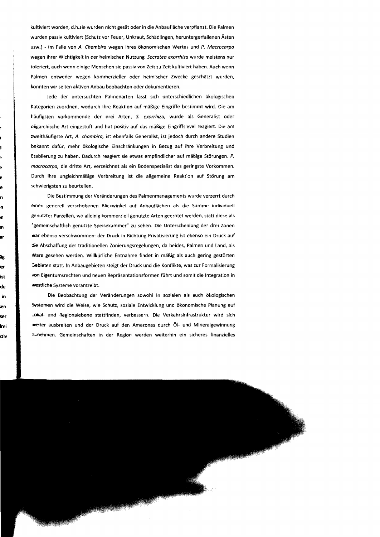kultiviert worden, d.h.sie wurden nicht gesät oder in die Anbaufläche verpflanzt. Die Palmen wurden passiv kultiviert (Schutz vor Feuer, Unkraut, Schädlingen, heruntergerfallenen Ästen usw.) - im Falle von A. Chambira wegen ihres ökonomischen Wertes und P. Macrocarpa wegen ihrer Wichtigkeit in der heimischen Nutzung. Socratea exorrhiza wurde meistens nur toleriert, auch wenn einige Menschen sie passiv von Zeit zu Zeit kultiviert haben. Auch wenn Palmen entweder wegen kommerzieller oder heimischer Zwecke geschätzt wurden, konnten wir selten aktiven Anbau beobachten oder dokumentieren.

Jede der untersuchten Palmenarten lässt sich unterschiedlichen ökologischen Kategorien zuordnen, wodurch ihre Reaktion auf mäßige Eingriffe bestimmt wird. Die am häufigsten vorkommende der drei Arten, S. exorrhiza, wurde als Generalist oder oligarchische Art eingestuft und hat positiv auf das mäßige Eingriffslevel reagiert. Die am zweithäufigste Art, A. chambira, ist ebenfalls Generalist, ist jedoch durch andere Studien bekannt dafür, mehr ökologische Einschränkungen in Bezug auf ihre Verbreitung und Etablierung zu haben. Dadurch reagiert sie etwas empfindlicher auf mäßige Störungen. P. mocrocarpa, die dritte Art, verzeichnet als ein Bodenspezialist das geringste Vorkommen. Durch ihre ungleichmäßige Verbreitung ist die allgemeine Reaktion auf Störung am schwierigsten zu beurteilen.

Die Bestimmung der Veränderungen des Palmenmanagements wurde verzerrt durch einen generell verschobenen Blickwinkel auf Anbauflächen als die Summe individuell genutzter Parzellen, wo alleinig kommerziell genutzte Arten geerntet werden, statt diese als "gemeinschaftlich genutzte Speisekammer" zu sehen. Die Unterscheidung der drei Zonen war ebenso verschwommen: der Druck in Richtung Privatisierung ist ebenso ein Druck auf die Abschaffung der traditionellen Zonierungsregelungen, da beides, Palmen und land, als Ware gesehen werden. Willkürliche Entnahme findet in mäßig als auch gering gestörten Gebieten statt. In Anbaugebieten steigt der Druck und die Konflikte, was zur Formalisierung von Eigentumsrechten und neuen Repräsentationsformen führt und somit die Integration in .-estliche Systeme vorantreibt.

Die Beobachtung der Veränderungen sowohl in sozialen als auch ökologischen Systemen wird die Weise, wie Schutz, soziale Entwicklung und ökonomische Planung auf ...DIka1- und Regionalebene stattfinden, verbessern. Die Verkehrsinfrastruktur wird sich -'ter ausbreiten und der Druck auf den Amazonas durch ÖI- und Mineralgewinnung ~nehmen. Gemeinschaften in der Region werden weiterhin ein sicheres finanzielles